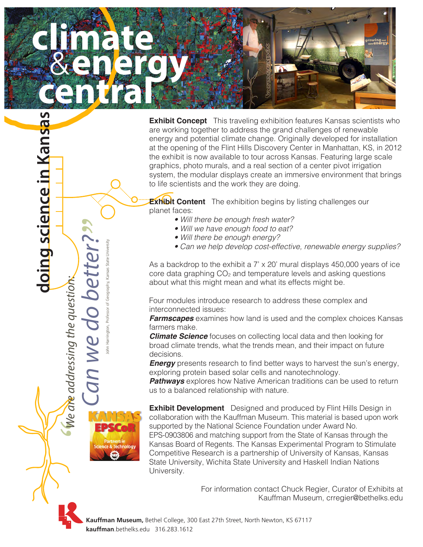

**Exhibit Concept** This traveling exhibition features Kansas scientists who are working together to address the grand challenges of renewable energy and potential climate change. Originally developed for installation at the opening of the Flint Hills Discovery Center in Manhattan, KS, in 2012 the exhibit is now available to tour across Kansas. Featuring large scale graphics, photo murals, and a real section of a center pivot irrigation system, the modular displays create an immersive environment that brings to life scientists and the work they are doing.

**Exhibit Content** The exhibition begins by listing challenges our planet faces:

- *Will there be enough fresh water?*
- *Will we have enough food to eat?*
- *Will there be enough energy?*
- *Can we help develop cost-effective, renewable energy supplies?*

As a backdrop to the exhibit a 7' x 20' mural displays 450,000 years of ice core data graphing CO<sub>2</sub> and temperature levels and asking questions about what this might mean and what its effects might be.

Four modules introduce research to address these complex and interconnected issues:

*Farmscapes* examines how land is used and the complex choices Kansas farmers make.

*Climate Science* focuses on collecting local data and then looking for broad climate trends, what the trends mean, and their impact on future decisions.

**Energy** presents research to find better ways to harvest the sun's energy, exploring protein based solar cells and nanotechnology.

**Pathways** explores how Native American traditions can be used to return us to a balanced relationship with nature.

**Exhibit Development** Designed and produced by Flint Hills Design in collaboration with the Kauffman Museum. This material is based upon work supported by the National Science Foundation under Award No. EPS-0903806 and matching support from the State of Kansas through the Kansas Board of Regents. The Kansas Experimental Program to Stimulate Competitive Research is a partnership of University of Kansas, Kansas State University, Wichita State University and Haskell Indian Nations University.